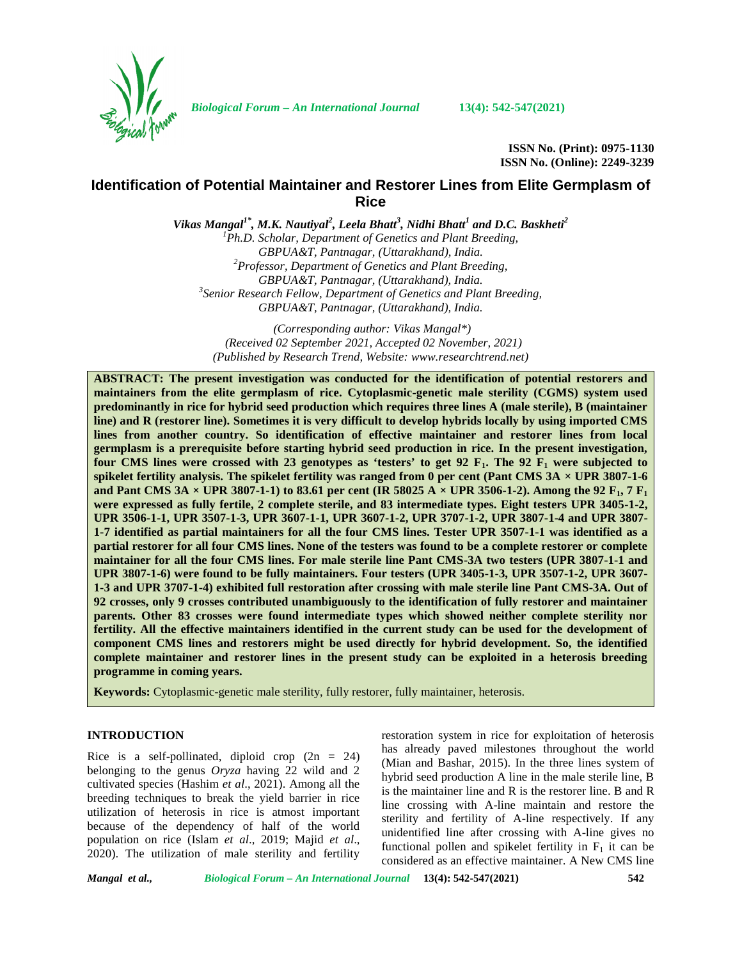

*Biological Forum – An International Journal* **13(4): 542-547(2021)**

**ISSN No. (Print): 0975-1130 ISSN No. (Online): 2249-3239**

# **Identification of Potential Maintainer and Restorer Lines from EliteGermplasm of Rice**

*Vikas Mangal1\* , M.K. Nautiyal<sup>2</sup> , Leela Bhatt<sup>3</sup> , Nidhi Bhatt<sup>1</sup> and D.C. Baskheti<sup>2</sup> <sup>1</sup>Ph.D. Scholar, Department of Genetics and Plant Breeding, GBPUA&T, Pantnagar, (Uttarakhand), India. <sup>2</sup>Professor, Department of Genetics and Plant Breeding, GBPUA&T, Pantnagar, (Uttarakhand), India. <sup>3</sup>Senior Research Fellow, Department of Genetics and Plant Breeding,*

*GBPUA&T, Pantnagar, (Uttarakhand), India.*

*(Corresponding author: Vikas Mangal\*) (Received 02 September 2021, Accepted 02 November, 2021) (Published by Research Trend, Website: [www.researchtrend.net\)](www.researchtrend.net)*

**ABSTRACT: The present investigation was conducted for the identification of potential restorers and maintainers from the elite germplasm of rice. Cytoplasmic-genetic male sterility (CGMS) system used predominantly in rice for hybrid seed production which requires three lines A (male sterile), B (maintainer line) and R (restorer line). Sometimes it is very difficult to develop hybrids locally by using imported CMS lines from another country. So identification of effective maintainer and restorer lines from local germplasm is a prerequisite before starting hybrid seed production in rice. In the present investigation, four CMS lines were crossed with 23 genotypes as 'testers' to get 92 F1. The 92 F<sup>1</sup> were subjected to spikelet fertility analysis. The spikelet fertility was ranged from 0 per cent (Pant CMS**  $3A \times UPR 3807-1-6$ **) and Pant CMS 3A**  $\times$  **UPR 3807-1-1) to 83.61 per cent (IR 58025 A**  $\times$  **UPR 3506-1-2). Among the 92 F<sub>1</sub>, 7 F<sub>1</sub> were expressed as fully fertile, 2 complete sterile, and 83 intermediate types. Eight testers UPR 3405-1-2, UPR 3506-1-1, UPR 3507-1-3, UPR 3607-1-1, UPR 3607-1-2, UPR 3707-1-2, UPR 3807-1-4 and UPR 3807- 1-7 identified as partial maintainers for all the four CMS lines. Tester UPR 3507-1-1 was identified as a partial restorer for all four CMS lines. None of the testers was found to be a complete restorer or complete maintainer for all the four CMS lines. For male sterile line Pant CMS-3A two testers (UPR 3807-1-1 and UPR 3807-1-6) were found to be fully maintainers. Four testers (UPR 3405-1-3, UPR 3507-1-2, UPR 3607- 1-3 and UPR 3707-1-4) exhibited full restoration after crossing with male sterile line Pant CMS-3A. Out of 92 crosses, only 9 crosses contributed unambiguously to the identification of fully restorer and maintainer parents. Other 83 crosses were found intermediate types which showed neither complete sterility nor fertility. All the effective maintainers identified in the current study can be used for the development of component CMS lines and restorers might be used directly for hybrid development. So, the identified complete maintainer and restorer lines in the present study can be exploited in a heterosis breeding programme in coming years.**

**Keywords:** Cytoplasmic-genetic male sterility, fully restorer, fully maintainer, heterosis.

### **INTRODUCTION**

Rice is a self-pollinated, diploid crop  $(2n = 24)$ belonging to the genus *Oryza* having 22 wild and 2 cultivated species (Hashim *et al*., 2021). Among all the breeding techniques to break the yield barrier in rice utilization of heterosis in rice is atmost important because of the dependency of half of the world population on rice (Islam *et al*., 2019; Majid *et al*., 2020). The utilization of male sterility and fertility restoration system in rice for exploitation of heterosis has already paved milestones throughout the world (Mian and Bashar, 2015). In the three lines system of hybrid seed production A line in the male sterile line, B is the maintainer line and R is the restorer line. B and R line crossing with A-line maintain and restore the sterility and fertility of A-line respectively. If any unidentified line after crossing with A-line gives no functional pollen and spikelet fertility in  $F_1$  it can be considered as an effective maintainer. A New CMS line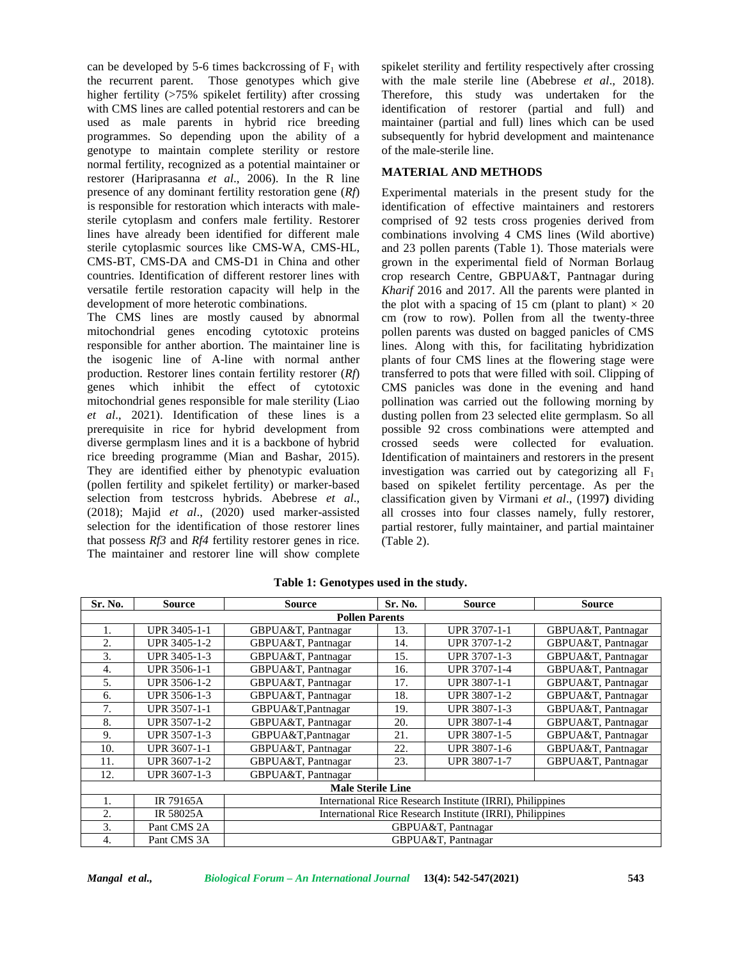can be developed by 5-6 times backcrossing of  $F_1$  with the recurrent parent. Those genotypes which give higher fertility (>75% spikelet fertility) after crossing with CMS lines are called potential restorers and can be used as male parents in hybrid rice breeding programmes. So depending upon the ability of a genotype to maintain complete sterility or restore normal fertility, recognized as a potential maintainer or restorer (Hariprasanna *et al*., 2006). In the R line presence of any dominant fertility restoration gene (*Rf*) is responsible for restoration which interacts with male sterile cytoplasm and confers male fertility. Restorer lines have already been identified for different male sterile cytoplasmic sources like CMS-WA, CMS-HL, CMS-BT, CMS-DA and CMS-D1 in China and other countries. Identification of different restorer lines with versatile fertile restoration capacity will help in the development of more heterotic combinations.

The CMS lines are mostly caused by abnormal mitochondrial genes encoding cytotoxic proteins responsible for anther abortion. The maintainer line is the isogenic line of A-line with normal anther production. Restorer lines contain fertility restorer (*Rf*) genes which inhibit the effect of cytotoxic mitochondrial genes responsible for male sterility (Liao *et al*., 2021). Identification of these lines is a prerequisite in rice for hybrid development from diverse germplasm lines and it is a backbone of hybrid rice breeding programme (Mian and Bashar, 2015). They are identified either by phenotypic evaluation (pollen fertility and spikelet fertility) or marker-based selection from testcross hybrids. Abebrese *et al*., (2018); Majid *et al*., (2020) used marker-assisted selection for the identification of those restorer lines that possess *Rf3* and *Rf4* fertility restorer genes in rice. The maintainer and restorer line will show complete

spikelet sterility and fertility respectively after crossing with the male sterile line (Abebrese *et al*., 2018). Therefore, this study was undertaken for the identification of restorer (partial and full) and maintainer (partial and full) lines which can be used subsequently for hybrid development and maintenance of the male-sterile line.

### **MATERIAL AND METHODS**

Experimental materials in the present study for the identification of effective maintainers and restorers comprised of 92 tests cross progenies derived from combinations involving 4 CMS lines (Wild abortive) and 23 pollen parents (Table 1). Those materials were grown in the experimental field of Norman Borlaug crop research Centre, GBPUA&T, Pantnagar during *Kharif* 2016 and 2017. All the parents were planted in the plot with a spacing of 15 cm (plant to plant)  $\times$  20 cm (row to row). Pollen from all the twenty-three pollen parents was dusted on bagged panicles of CMS lines. Along with this, for facilitating hybridization plants of four CMS lines at the flowering stage were transferred to pots that were filled with soil. Clipping of CMS panicles was done in the evening and hand pollination was carried out the following morning by dusting pollen from 23 selected elite germplasm. So all possible 92 cross combinations were attempted and crossed seeds were collected for evaluation. Identification of maintainers and restorers in the present investigation was carried out by categorizing all  $F_1$ based on spikelet fertility percentage. As per the classification given by Virmani *et al*., (1997**)** dividing all crosses into four classes namely, fully restorer, partial restorer, fully maintainer, and partial maintainer (Table 2).

| Sr. No.                  | <b>Source</b>       | <b>Source</b>                                             | Sr. No. | <b>Source</b>       | <b>Source</b>      |  |  |  |
|--------------------------|---------------------|-----------------------------------------------------------|---------|---------------------|--------------------|--|--|--|
|                          |                     | <b>Pollen Parents</b>                                     |         |                     |                    |  |  |  |
| 1.                       | <b>UPR 3405-1-1</b> | GBPUA&T, Pantnagar                                        | 13.     | <b>UPR 3707-1-1</b> | GBPUA&T, Pantnagar |  |  |  |
| 2.                       | UPR 3405-1-2        | GBPUA&T, Pantnagar                                        | 14.     | UPR 3707-1-2        | GBPUA&T, Pantnagar |  |  |  |
| 3.                       | UPR 3405-1-3        | GBPUA&T, Pantnagar                                        | 15.     | UPR 3707-1-3        | GBPUA&T, Pantnagar |  |  |  |
| 4.                       | UPR 3506-1-1        | GBPUA&T, Pantnagar                                        | 16.     | UPR 3707-1-4        | GBPUA&T, Pantnagar |  |  |  |
| 5.                       | UPR 3506-1-2        | GBPUA&T, Pantnagar                                        | 17.     | <b>UPR 3807-1-1</b> | GBPUA&T, Pantnagar |  |  |  |
| 6.                       | UPR 3506-1-3        | GBPUA&T, Pantnagar                                        | 18.     | <b>UPR 3807-1-2</b> | GBPUA&T, Pantnagar |  |  |  |
| 7.                       | UPR 3507-1-1        | GBPUA&T, Pantnagar                                        | 19.     | UPR 3807-1-3        | GBPUA&T, Pantnagar |  |  |  |
| 8.                       | UPR 3507-1-2        | GBPUA&T, Pantnagar                                        | 20.     | <b>UPR 3807-1-4</b> | GBPUA&T, Pantnagar |  |  |  |
| 9.                       | UPR 3507-1-3        | GBPUA&T, Pantnagar                                        | 21.     | <b>UPR 3807-1-5</b> | GBPUA&T, Pantnagar |  |  |  |
| 10.                      | UPR 3607-1-1        | GBPUA&T, Pantnagar                                        | 22.     | UPR 3807-1-6        | GBPUA&T, Pantnagar |  |  |  |
| 11.                      | UPR 3607-1-2        | GBPUA&T, Pantnagar                                        | 23.     | <b>UPR 3807-1-7</b> | GBPUA&T, Pantnagar |  |  |  |
| 12.                      | UPR 3607-1-3        | GBPUA&T, Pantnagar                                        |         |                     |                    |  |  |  |
| <b>Male Sterile Line</b> |                     |                                                           |         |                     |                    |  |  |  |
| 1.                       | IR 79165A           | International Rice Research Institute (IRRI), Philippines |         |                     |                    |  |  |  |
| 2.                       | IR 58025A           | International Rice Research Institute (IRRI), Philippines |         |                     |                    |  |  |  |
| 3.                       | Pant CMS 2A         |                                                           |         | GBPUA&T, Pantnagar  |                    |  |  |  |
| 4.                       | Pant CMS 3A         |                                                           |         | GBPUA&T, Pantnagar  |                    |  |  |  |

**Table 1: Genotypes used in the study.**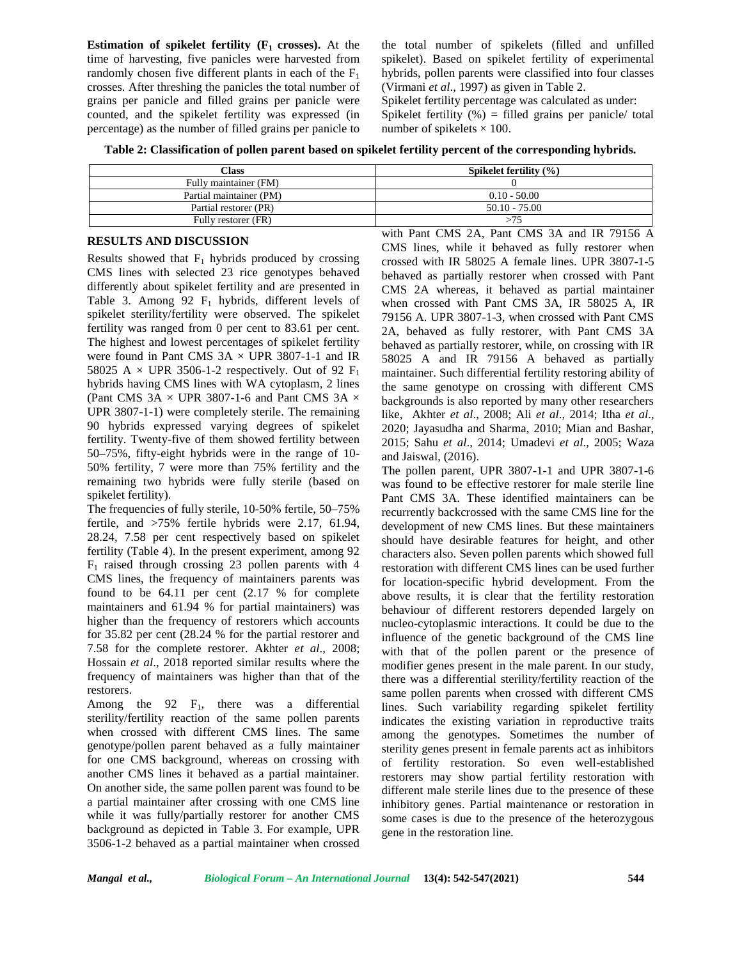**Estimation of spikelet fertility**  $(F_1 \text{ crosses})$ . At the time of harvesting, five panicles were harvested from randomly chosen five different plants in each of the  $F_1$ crosses. After threshing the panicles the total number of grains per panicle and filled grains per panicle were counted, and the spikelet fertility was expressed (in percentage) as the number of filled grains per panicle to

the total number of spikelets (filled and unfilled spikelet). Based on spikelet fertility of experimental hybrids, pollen parents were classified into four classes (Virmani *et al*., 1997) as given in Table 2.

Spikelet fertility percentage was calculated as under:

Spikelet fertility  $(\%)$  = filled grains per panicle/ total number of spikelets  $\times$  100.

**Table 2: Classification of pollen parent based on spikelet fertility percent of the corresponding hybrids.**

| Class                   | Spikelet fertility $(\% )$ |
|-------------------------|----------------------------|
| Fully maintainer (FM)   |                            |
| Partial maintainer (PM) | $0.10 - 50.00$             |
| Partial restorer (PR)   | $50.10 - 75.00$            |
| Fully restorer (FR)     |                            |

### **RESULTS AND DISCUSSION**

Results showed that  $F_1$  hybrids produced by crossing CMS lines with selected 23 rice genotypes behaved differently about spikelet fertility and are presented in Table 3. Among 92  $F_1$  hybrids, different levels of spikelet sterility/fertility were observed. The spikelet fertility was ranged from 0 per cent to 83.61 per cent. The highest and lowest percentages of spikelet fertility were found in Pant CMS  $3A \times UPR$  3807-1-1 and IR 58025 A  $\times$  UPR 3506-1-2 respectively. Out of 92 F<sub>1</sub> hybrids having CMS lines with WA cytoplasm, 2 lines (Pant CMS 3A  $\times$  UPR 3807-1-6 and Pant CMS 3A  $\times$ UPR 3807-1-1) were completely sterile. The remaining 90 hybrids expressed varying degrees of spikelet fertility. Twenty-five of them showed fertility between 50–75%, fifty-eight hybrids were in the range of 10- 50% fertility, 7 were more than 75% fertility and the remaining two hybrids were fully sterile (based on spikelet fertility).

The frequencies of fully sterile, 10-50% fertile, 50–75% fertile, and >75% fertile hybrids were 2.17, 61.94, 28.24, 7.58 per cent respectively based on spikelet fertility (Table 4). In the present experiment, among 92  $F_1$  raised through crossing 23 pollen parents with 4 CMS lines, the frequency of maintainers parents was found to be 64.11 per cent (2.17 % for complete maintainers and 61.94 % for partial maintainers) was higher than the frequency of restorers which accounts for 35.82 per cent (28.24 % for the partial restorer and 7.58 for the complete restorer. Akhter *et al*., 2008; Hossain *et al*., 2018 reported similar results where the frequency of maintainers was higher than that of the restorers.

Among the  $92$  F<sub>1</sub>, there was a differential sterility/fertility reaction of the same pollen parents when crossed with different CMS lines. The same genotype/pollen parent behaved as a fully maintainer for one CMS background, whereas on crossing with another CMS lines it behaved as a partial maintainer. On another side, the same pollen parent was found to be a partial maintainer after crossing with one CMS line while it was fully/partially restorer for another CMS background as depicted in Table 3. For example, UPR 3506-1-2 behaved as a partial maintainer when crossed

with Pant CMS 2A, Pant CMS 3A and IR 79156 A CMS lines, while it behaved as fully restorer when crossed with IR 58025 A female lines. UPR 3807-1-5 behaved as partially restorer when crossed with Pant CMS 2A whereas, it behaved as partial maintainer when crossed with Pant CMS 3A, IR 58025 A, IR 79156 A. UPR 3807-1-3, when crossed with Pant CMS 2A, behaved as fully restorer, with Pant CMS 3A behaved as partially restorer, while, on crossing with IR 58025 A and IR 79156 A behaved as partially maintainer. Such differential fertility restoring ability of the same genotype on crossing with different CMS backgrounds is also reported by many other researchers like, Akhter *et al*., 2008; Ali *et al*., 2014; Itha *et al*., 2020; Jayasudha and Sharma, 2010; Mian and Bashar, 2015; Sahu *et al*., 2014; Umadevi *et al*., 2005; Waza and Jaiswal, (2016).

The pollen parent, UPR 3807-1-1 and UPR 3807-1-6 was found to be effective restorer for male sterile line Pant CMS 3A. These identified maintainers can be recurrently backcrossed with the same CMS line for the development of new CMS lines. But these maintainers should have desirable features for height, and other characters also. Seven pollen parents which showed full restoration with different CMS lines can be used further for location-specific hybrid development. From the above results, it is clear that the fertility restoration behaviour of different restorers depended largely on nucleo-cytoplasmic interactions. It could be due to the influence of the genetic background of the CMS line with that of the pollen parent or the presence of modifier genes present in the male parent. In our study, there was a differential sterility/fertility reaction of the same pollen parents when crossed with different CMS lines. Such variability regarding spikelet fertility indicates the existing variation in reproductive traits among the genotypes. Sometimes the number of sterility genes present in female parents act as inhibitors of fertility restoration. So even well-established restorers may show partial fertility restoration with different male sterile lines due to the presence of these inhibitory genes. Partial maintenance or restoration in some cases is due to the presence of the heterozygous gene in the restoration line.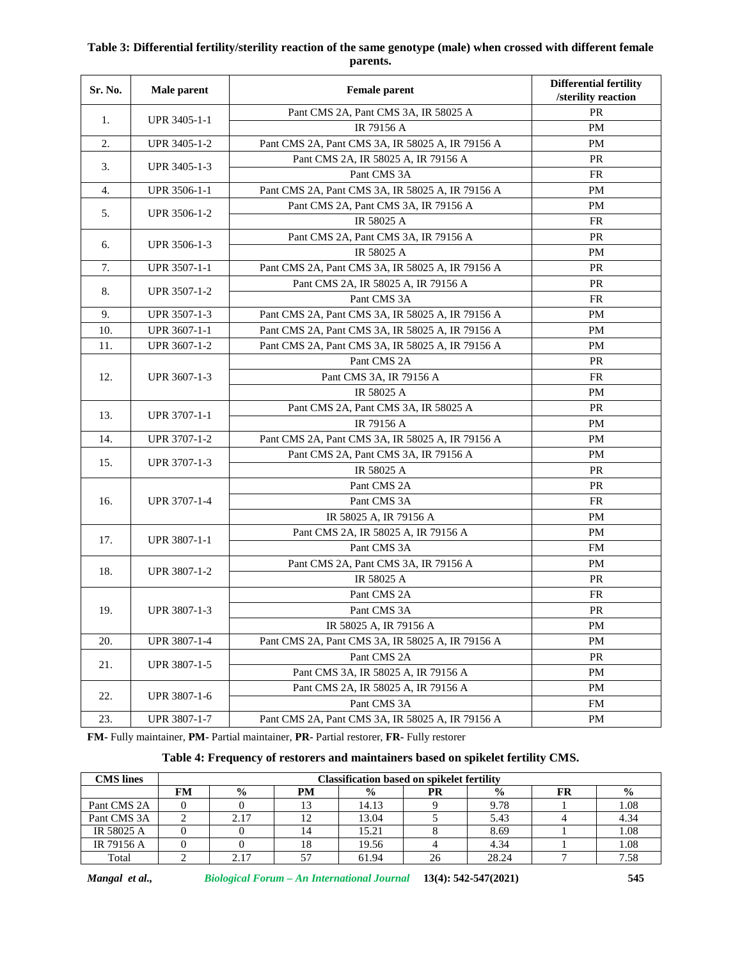## **Table 3: Differential fertility/sterility reaction of the same genotype (male) when crossed with different female parents.**

| Sr. No. | Male parent  | <b>Female parent</b>                             | <b>Differential fertility</b><br>/sterility reaction |
|---------|--------------|--------------------------------------------------|------------------------------------------------------|
| 1.      |              | Pant CMS 2A, Pant CMS 3A, IR 58025 A             | <b>PR</b>                                            |
|         | UPR 3405-1-1 | IR 79156 A                                       | <b>PM</b>                                            |
| 2.      | UPR 3405-1-2 | Pant CMS 2A, Pant CMS 3A, IR 58025 A, IR 79156 A | <b>PM</b>                                            |
| 3.      | UPR 3405-1-3 | Pant CMS 2A, IR 58025 A, IR 79156 A              | <b>PR</b>                                            |
|         |              | Pant CMS 3A                                      | <b>FR</b>                                            |
| 4.      | UPR 3506-1-1 | Pant CMS 2A, Pant CMS 3A, IR 58025 A, IR 79156 A | PM                                                   |
| 5.      | UPR 3506-1-2 | Pant CMS 2A, Pant CMS 3A, IR 79156 A             | <b>PM</b>                                            |
|         |              | IR 58025 A                                       | FR                                                   |
| 6.      | UPR 3506-1-3 | Pant CMS 2A, Pant CMS 3A, IR 79156 A             | <b>PR</b>                                            |
|         |              | IR 58025 A                                       | PM                                                   |
| 7.      | UPR 3507-1-1 | Pant CMS 2A, Pant CMS 3A, IR 58025 A, IR 79156 A | PR                                                   |
|         | UPR 3507-1-2 | Pant CMS 2A, IR 58025 A, IR 79156 A              | PR                                                   |
| 8.      |              | Pant CMS 3A                                      | FR                                                   |
| 9.      | UPR 3507-1-3 | Pant CMS 2A, Pant CMS 3A, IR 58025 A, IR 79156 A | <b>PM</b>                                            |
| 10.     | UPR 3607-1-1 | Pant CMS 2A, Pant CMS 3A, IR 58025 A, IR 79156 A | PM                                                   |
| 11.     | UPR 3607-1-2 | Pant CMS 2A, Pant CMS 3A, IR 58025 A, IR 79156 A | PM                                                   |
|         | UPR 3607-1-3 | Pant CMS 2A                                      | <b>PR</b>                                            |
| 12.     |              | Pant CMS 3A, IR 79156 A                          | <b>FR</b>                                            |
|         |              | IR 58025 A                                       | PM                                                   |
|         | UPR 3707-1-1 | Pant CMS 2A, Pant CMS 3A, IR 58025 A             | PR                                                   |
| 13.     |              | IR 79156 A                                       | <b>PM</b>                                            |
| 14.     | UPR 3707-1-2 | Pant CMS 2A, Pant CMS 3A, IR 58025 A, IR 79156 A | PM                                                   |
|         | UPR 3707-1-3 | Pant CMS 2A, Pant CMS 3A, IR 79156 A             | PM                                                   |
| 15.     |              | IR 58025 A                                       | PR                                                   |
|         | UPR 3707-1-4 | Pant CMS 2A                                      | PR                                                   |
| 16.     |              | Pant CMS 3A                                      | FR                                                   |
|         |              | IR 58025 A, IR 79156 A                           | <b>PM</b>                                            |
| 17.     | UPR 3807-1-1 | Pant CMS 2A, IR 58025 A, IR 79156 A              | <b>PM</b>                                            |
|         |              | Pant CMS 3A                                      | <b>FM</b>                                            |
|         | UPR 3807-1-2 | Pant CMS 2A, Pant CMS 3A, IR 79156 A             | <b>PM</b>                                            |
| 18.     |              | IR 58025 A                                       | PR                                                   |
| 19.     | UPR 3807-1-3 | Pant CMS 2A                                      | <b>FR</b>                                            |
|         |              | Pant CMS 3A                                      | PR                                                   |
|         |              | IR 58025 A, IR 79156 A                           | <b>PM</b>                                            |
| 20.     | UPR 3807-1-4 | Pant CMS 2A, Pant CMS 3A, IR 58025 A, IR 79156 A | PM                                                   |
|         |              | Pant CMS 2A                                      | PR                                                   |
| 21.     | UPR 3807-1-5 | Pant CMS 3A, IR 58025 A, IR 79156 A              | PM                                                   |
| 22.     |              | Pant CMS 2A, IR 58025 A, IR 79156 A              | PM                                                   |
|         | UPR 3807-1-6 | Pant CMS 3A                                      | <b>FM</b>                                            |
| 23.     | UPR 3807-1-7 | Pant CMS 2A, Pant CMS 3A, IR 58025 A, IR 79156 A | PM                                                   |

**FM-** Fully maintainer, **PM-** Partial maintainer, **PR-** Partial restorer, **FR-** Fully restorer

### **Table 4: Frequency of restorers and maintainers based on spikelet fertility CMS.**

| <b>CMS</b> lines | <b>Classification based on spikelet fertility</b> |               |    |               |           |               |    |               |
|------------------|---------------------------------------------------|---------------|----|---------------|-----------|---------------|----|---------------|
|                  | FМ                                                | $\frac{0}{0}$ | PM | $\frac{6}{6}$ | <b>PR</b> | $\frac{0}{0}$ | FR | $\frac{0}{0}$ |
| Pant CMS 2A      |                                                   |               |    | 14.13         |           | 9.78          |    | 1.08          |
| Pant CMS 3A      |                                                   | 2.17          | 14 | 13.04         |           | 5.43          |    | 4.34          |
| IR 58025 A       |                                                   |               | 14 | 15.21         |           | 8.69          |    | 1.08          |
| IR 79156 A       |                                                   |               | 18 | 19.56         |           | 4.34          |    | 1.08          |
| Total            |                                                   | 2.17          | 57 | 61.94         | 26        | 28.24         |    | 7.58          |

*Mangal et al., Biological Forum – An International Journal* **13(4): 542-547(2021) 545**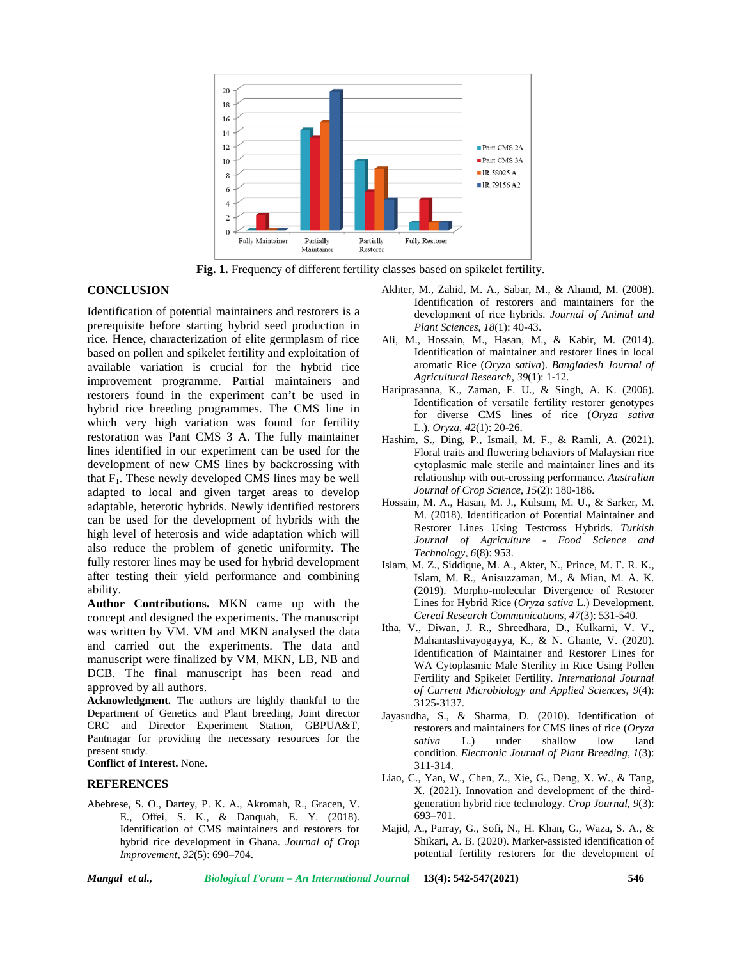

**Fig. 1.** Frequency of different fertility classes based on spikelet fertility.

### **CONCLUSION**

Identification of potential maintainers and restorers is a prerequisite before starting hybrid seed production in rice. Hence, characterization of elite germplasm of rice based on pollen and spikelet fertility and exploitation of available variation is crucial for the hybrid rice improvement programme. Partial maintainers and restorers found in the experiment can't be used in hybrid rice breeding programmes. The CMS line in which very high variation was found for fertility restoration was Pant CMS 3 A. The fully maintainer lines identified in our experiment can be used for the development of new CMS lines by backcrossing with that  $F_1$ . These newly developed CMS lines may be well adapted to local and given target areas to develop adaptable, heterotic hybrids. Newly identified restorers can be used for the development of hybrids with the high level of heterosis and wide adaptation which will also reduce the problem of genetic uniformity. The fully restorer lines may be used for hybrid development after testing their yield performance and combining ability.

**Author Contributions.** MKN came up with the concept and designed the experiments. The manuscript was written by VM. VM and MKN analysed the data and carried out the experiments. The data and manuscript were finalized by VM, MKN, LB, NB and DCB. The final manuscript has been read and approved by all authors.

**Acknowledgment.** The authors are highly thankful to the Department of Genetics and Plant breeding, Joint director CRC and Director Experiment Station, GBPUA&T, Pantnagar for providing the necessary resources for the present study.

**Conflict of Interest.** None.

#### **REFERENCES**

Abebrese, S. O., Dartey, P. K. A., Akromah, R., Gracen, V. E., Offei, S. K., & Danquah, E. Y. (2018). Identification of CMS maintainers and restorers for hybrid rice development in Ghana. *Journal of Crop Improvement*, *32*(5): 690–704.

- Akhter, M., Zahid, M. A., Sabar, M., & Ahamd, M. (2008). Identification of restorers and maintainers for the development of rice hybrids. *Journal of Animal and Plant Sciences*, *18*(1): 40-43.
- Ali, M., Hossain, M., Hasan, M., & Kabir, M. (2014). Identification of maintainer and restorer lines in local aromatic Rice (*Oryza sativa*). *Bangladesh Journal of Agricultural Research*, *39*(1): 1-12.
- Hariprasanna, K., Zaman, F. U., & Singh, A. K. (2006). Identification of versatile fertility restorer genotypes for diverse CMS lines of rice (*Oryza sativa* L.). *Oryza*, *42*(1): 20-26.
- Hashim, S., Ding, P., Ismail, M. F., & Ramli, A. (2021). Floral traits and flowering behaviors of Malaysian rice cytoplasmic male sterile and maintainer lines and its relationship with out-crossing performance. *Australian Journal of Crop Science*, *15*(2): 180-186.
- Hossain, M. A., Hasan, M. J., Kulsum, M. U., & Sarker, M. M. (2018). Identification of Potential Maintainer and Restorer Lines Using Testcross Hybrids. *Turkish Journal of Agriculture - Food Science and Technology*, *6*(8): 953.
- Islam, M. Z., Siddique, M. A., Akter, N., Prince, M. F. R. K., Islam, M. R., Anisuzzaman, M., & Mian, M. A. K. (2019). Morpho-molecular Divergence of Restorer Lines for Hybrid Rice (*Oryza sativa* L.) Development. *Cereal Research Communications*, *47*(3): 531-540.
- Itha, V., Diwan, J. R., Shreedhara, D., Kulkarni, V. V., Mahantashivayogayya, K., & N. Ghante, V. (2020). Identification of Maintainer and Restorer Lines for WA Cytoplasmic Male Sterility in Rice Using Pollen Fertility and Spikelet Fertility. *International Journal of Current Microbiology and Applied Sciences*, *9*(4): 3125-3137.
- Jayasudha, S., & Sharma, D. (2010). Identification of restorers and maintainers for CMS lines of rice (*Oryza sativa* L.) under shallow low land condition. *Electronic Journal of Plant Breeding*, *1*(3): 311-314.
- Liao, C., Yan, W., Chen, Z., Xie, G., Deng, X. W., & Tang, X. (2021). Innovation and development of the third generation hybrid rice technology. *Crop Journal*, *9*(3): 693–701.
- Majid, A., Parray, G., Sofi, N., H. Khan, G., Waza, S. A., & Shikari, A. B. (2020). Marker-assisted identification of potential fertility restorers for the development of

*Mangal et al., Biological Forum – An International Journal* **13(4): 542-547(2021) 546**